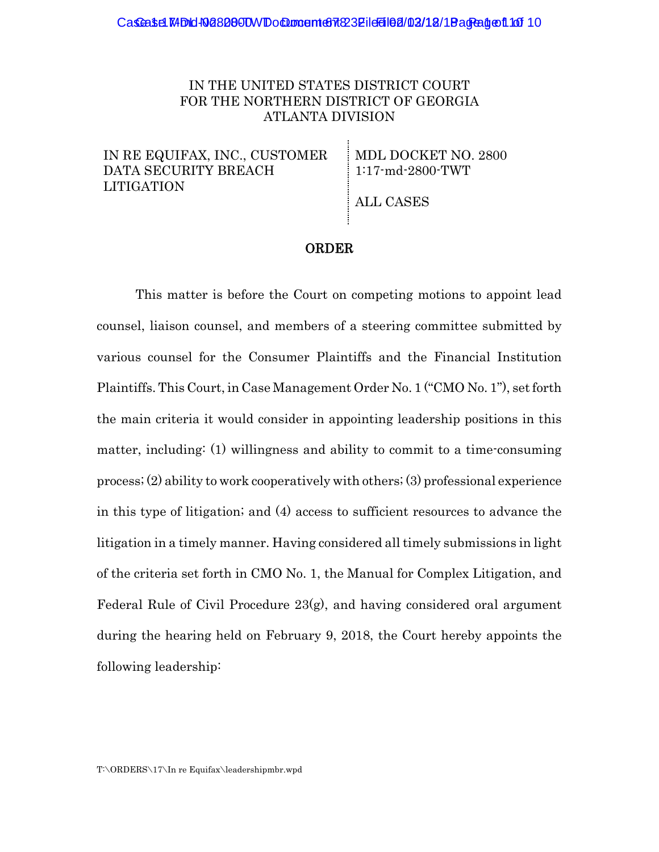### IN THE UNITED STATES DISTRICT COURT FOR THE NORTHERN DISTRICT OF GEORGIA ATLANTA DIVISION

IN RE EQUIFAX, INC., CUSTOMER DATA SECURITY BREACH LITIGATION

MDL DOCKET NO. 2800 1:17-md-2800-TWT

ALL CASES

#### ORDER

This matter is before the Court on competing motions to appoint lead counsel, liaison counsel, and members of a steering committee submitted by various counsel for the Consumer Plaintiffs and the Financial Institution Plaintiffs. This Court, in Case Management Order No. 1 ("CMO No. 1"), set forth the main criteria it would consider in appointing leadership positions in this matter, including: (1) willingness and ability to commit to a time-consuming process; (2) ability to work cooperatively with others; (3) professional experience in this type of litigation; and (4) access to sufficient resources to advance the litigation in a timely manner. Having considered all timely submissions in light of the criteria set forth in CMO No. 1, the Manual for Complex Litigation, and Federal Rule of Civil Procedure 23(g), and having considered oral argument during the hearing held on February 9, 2018, the Court hereby appoints the following leadership: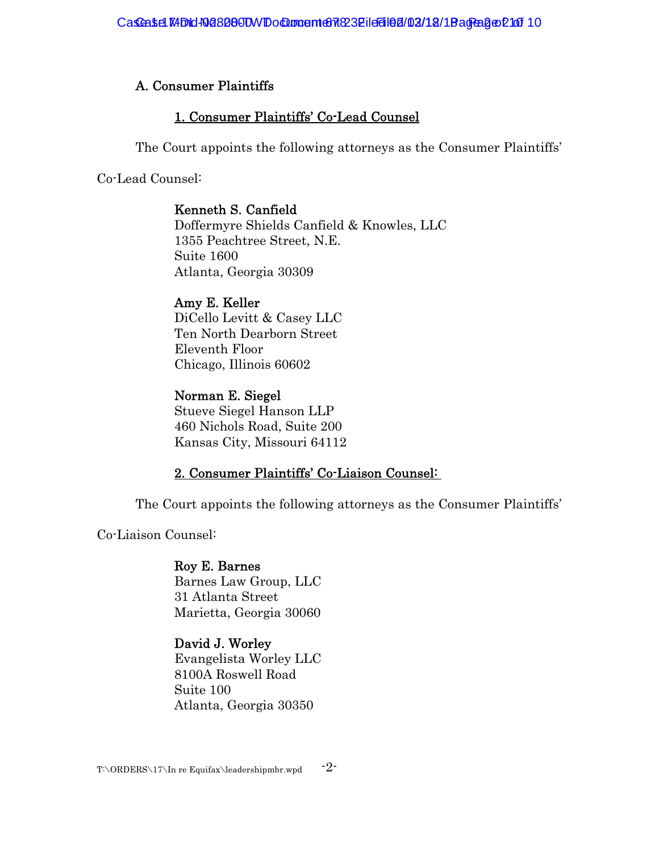# A. Consumer Plaintiffs

# 1. Consumer Plaintiffs' Co-Lead Counsel

The Court appoints the following attorneys as the Consumer Plaintiffs'

Co-Lead Counsel:

# Kenneth S. Canfield

Doffermyre Shields Canfield & Knowles, LLC 1355 Peachtree Street, N.E. Suite 1600 Atlanta, Georgia 30309

# Amy E. Keller

DiCello Levitt & Casey LLC Ten North Dearborn Street Eleventh Floor Chicago, Illinois 60602

# Norman E. Siegel

Stueve Siegel Hanson LLP 460 Nichols Road, Suite 200 Kansas City, Missouri 64112

# 2. Consumer Plaintiffs' Co-Liaison Counsel:

The Court appoints the following attorneys as the Consumer Plaintiffs'

Co-Liaison Counsel:

# Roy E. Barnes

Barnes Law Group, LLC 31 Atlanta Street Marietta, Georgia 30060

# David J. Worley

Evangelista Worley LLC 8100A Roswell Road Suite 100 Atlanta, Georgia 30350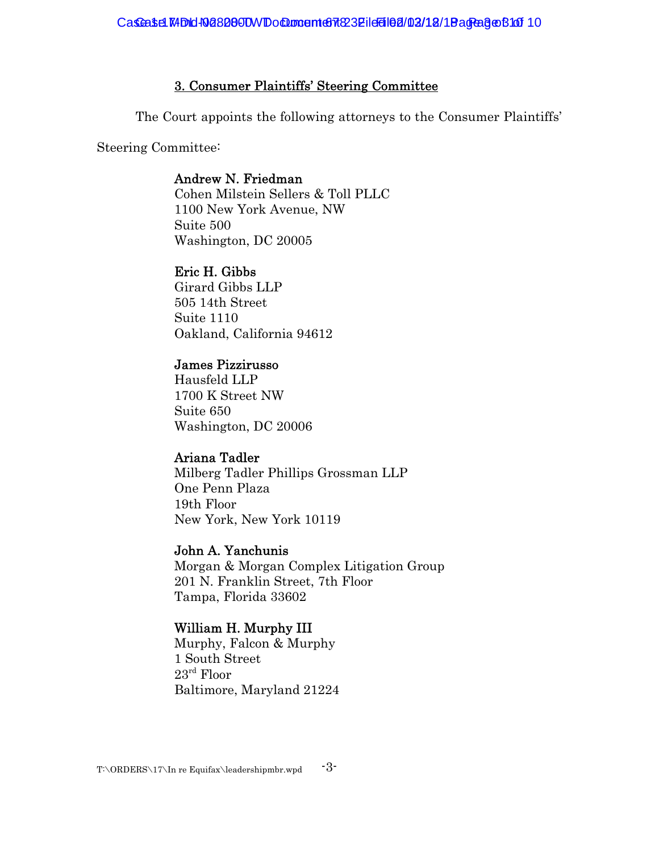### 3. Consumer Plaintiffs' Steering Committee

The Court appoints the following attorneys to the Consumer Plaintiffs'

Steering Committee:

### Andrew N. Friedman

Cohen Milstein Sellers & Toll PLLC 1100 New York Avenue, NW Suite 500 Washington, DC 20005

### Eric H. Gibbs

Girard Gibbs LLP 505 14th Street Suite 1110 Oakland, California 94612

### James Pizzirusso

Hausfeld LLP 1700 K Street NW Suite 650 Washington, DC 20006

### Ariana Tadler

Milberg Tadler Phillips Grossman LLP One Penn Plaza 19th Floor New York, New York 10119

### John A. Yanchunis

Morgan & Morgan Complex Litigation Group 201 N. Franklin Street, 7th Floor Tampa, Florida 33602

### William H. Murphy III

Murphy, Falcon & Murphy 1 South Street 23rd Floor Baltimore, Maryland 21224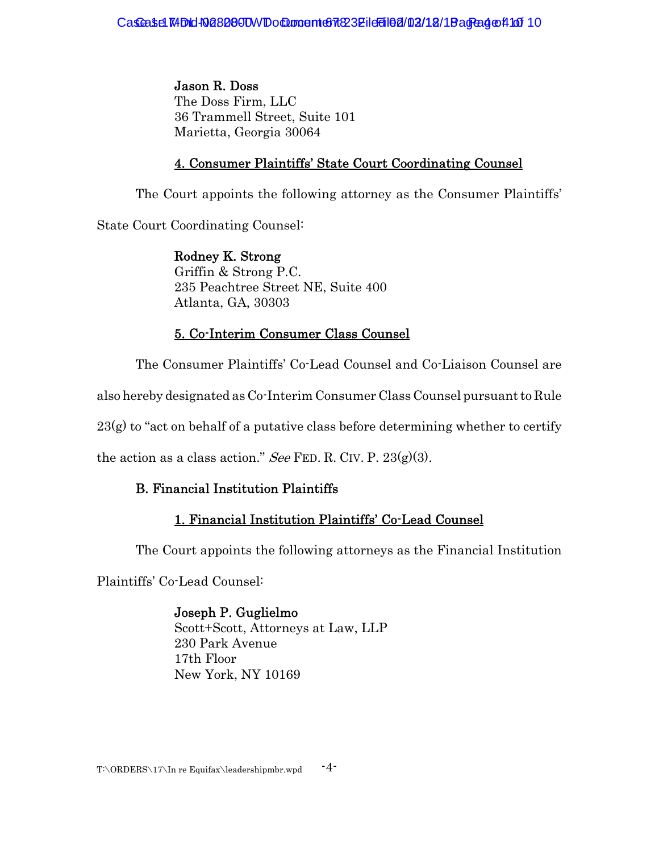Jason R. Doss The Doss Firm, LLC 36 Trammell Street, Suite 101 Marietta, Georgia 30064

## 4. Consumer Plaintiffs' State Court Coordinating Counsel

The Court appoints the following attorney as the Consumer Plaintiffs'

State Court Coordinating Counsel:

Rodney K. Strong Griffin & Strong P.C. 235 Peachtree Street NE, Suite 400 Atlanta, GA, 30303

# 5. Co-Interim Consumer Class Counsel

The Consumer Plaintiffs' Co-Lead Counsel and Co-Liaison Counsel are

also hereby designated as Co-Interim Consumer Class Counsel pursuant to Rule

 $23(g)$  to "act on behalf of a putative class before determining whether to certify

the action as a class action." See FED. R. CIV. P.  $23(g)(3)$ .

# B. Financial Institution Plaintiffs

# 1. Financial Institution Plaintiffs' Co-Lead Counsel

The Court appoints the following attorneys as the Financial Institution

Plaintiffs' Co-Lead Counsel:

# Joseph P. Guglielmo

Scott+Scott, Attorneys at Law, LLP 230 Park Avenue 17th Floor New York, NY 10169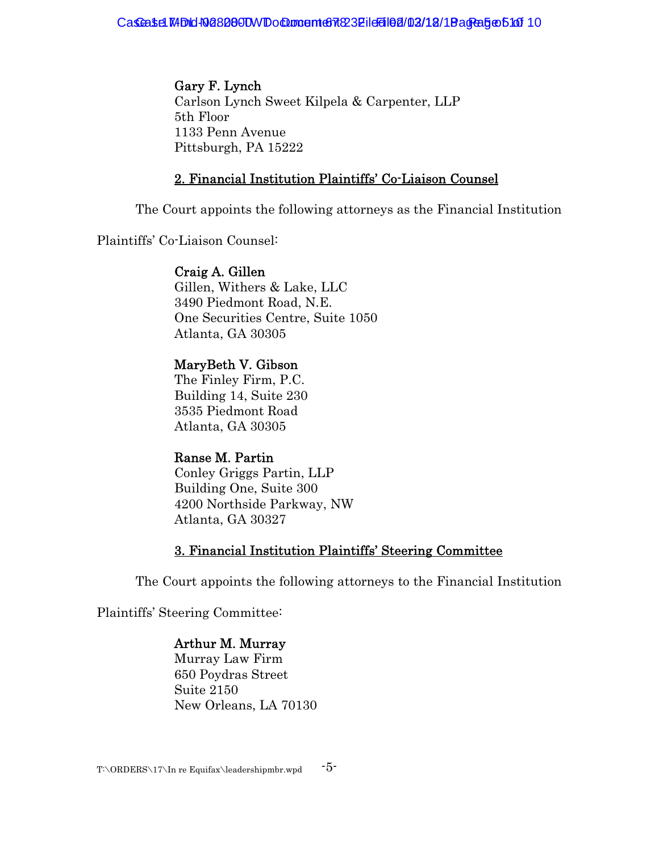Gary F. Lynch Carlson Lynch Sweet Kilpela & Carpenter, LLP 5th Floor 1133 Penn Avenue Pittsburgh, PA 15222

### 2. Financial Institution Plaintiffs' Co-Liaison Counsel

The Court appoints the following attorneys as the Financial Institution

Plaintiffs' Co-Liaison Counsel:

#### Craig A. Gillen

Gillen, Withers & Lake, LLC 3490 Piedmont Road, N.E. One Securities Centre, Suite 1050 Atlanta, GA 30305

# MaryBeth V. Gibson

The Finley Firm, P.C. Building 14, Suite 230 3535 Piedmont Road Atlanta, GA 30305

### Ranse M. Partin

Conley Griggs Partin, LLP Building One, Suite 300 4200 Northside Parkway, NW Atlanta, GA 30327

### 3. Financial Institution Plaintiffs' Steering Committee

The Court appoints the following attorneys to the Financial Institution

Plaintiffs' Steering Committee:

# Arthur M. Murray

Murray Law Firm 650 Poydras Street Suite 2150 New Orleans, LA 70130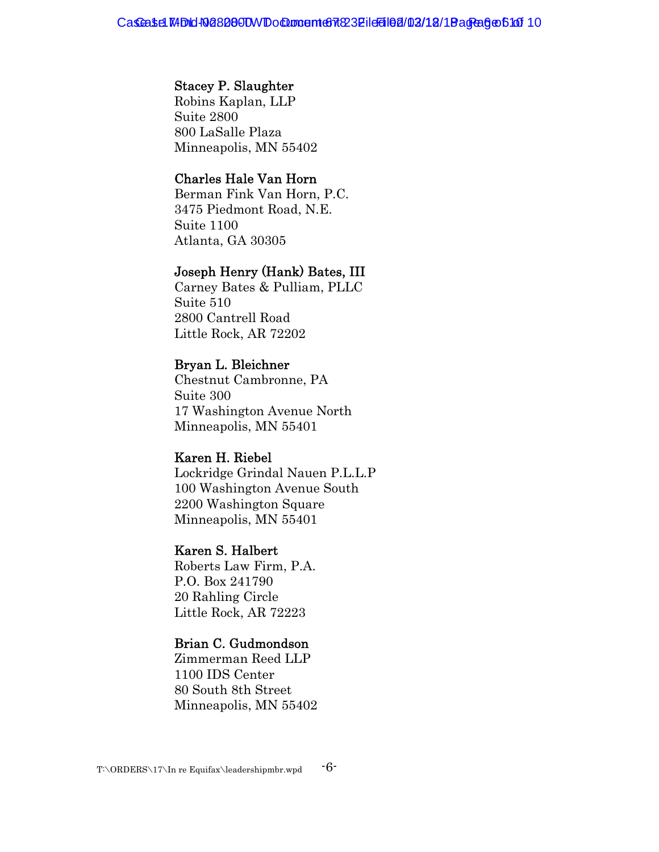#### Stacey P. Slaughter

Robins Kaplan, LLP Suite 2800 800 LaSalle Plaza Minneapolis, MN 55402

#### Charles Hale Van Horn

Berman Fink Van Horn, P.C. 3475 Piedmont Road, N.E. Suite 1100 Atlanta, GA 30305

#### Joseph Henry (Hank) Bates, III

Carney Bates & Pulliam, PLLC Suite 510 2800 Cantrell Road Little Rock, AR 72202

#### Bryan L. Bleichner

Chestnut Cambronne, PA Suite 300 17 Washington Avenue North Minneapolis, MN 55401

#### Karen H. Riebel

Lockridge Grindal Nauen P.L.L.P 100 Washington Avenue South 2200 Washington Square Minneapolis, MN 55401

### Karen S. Halbert

Roberts Law Firm, P.A. P.O. Box 241790 20 Rahling Circle Little Rock, AR 72223

#### Brian C. Gudmondson

Zimmerman Reed LLP 1100 IDS Center 80 South 8th Street Minneapolis, MN 55402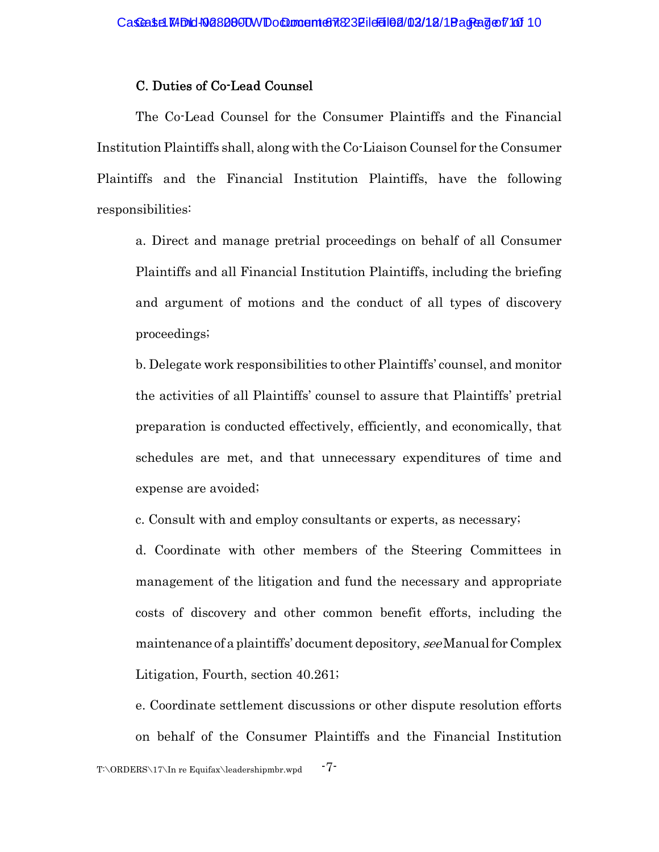#### C. Duties of Co-Lead Counsel

The Co-Lead Counsel for the Consumer Plaintiffs and the Financial Institution Plaintiffs shall, along with the Co-Liaison Counsel for the Consumer Plaintiffs and the Financial Institution Plaintiffs, have the following responsibilities:

a. Direct and manage pretrial proceedings on behalf of all Consumer Plaintiffs and all Financial Institution Plaintiffs, including the briefing and argument of motions and the conduct of all types of discovery proceedings;

b. Delegate work responsibilities to other Plaintiffs' counsel, and monitor the activities of all Plaintiffs' counsel to assure that Plaintiffs' pretrial preparation is conducted effectively, efficiently, and economically, that schedules are met, and that unnecessary expenditures of time and expense are avoided;

c. Consult with and employ consultants or experts, as necessary;

d. Coordinate with other members of the Steering Committees in management of the litigation and fund the necessary and appropriate costs of discovery and other common benefit efforts, including the maintenance of a plaintiffs' document depository, see Manual for Complex Litigation, Fourth, section 40.261;

e. Coordinate settlement discussions or other dispute resolution efforts on behalf of the Consumer Plaintiffs and the Financial Institution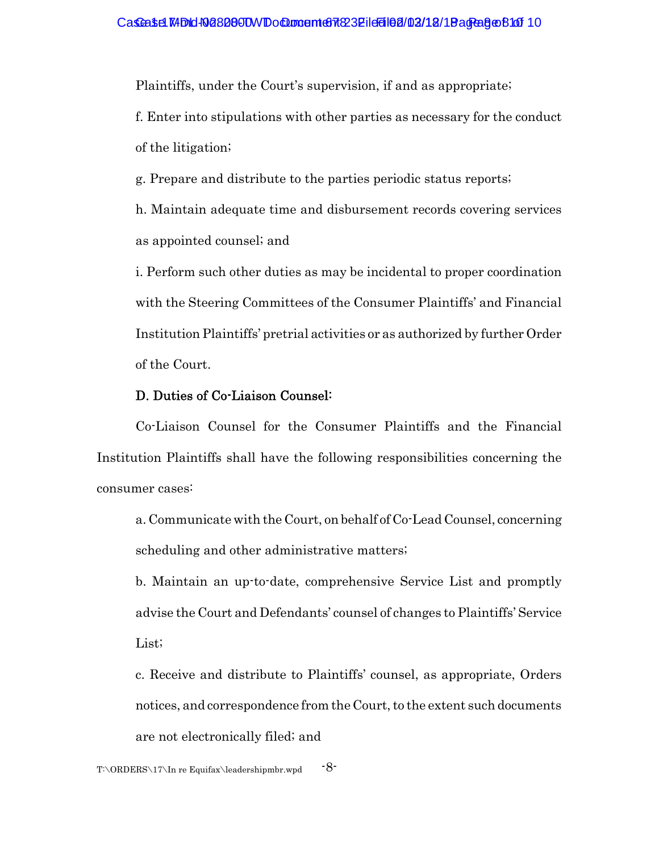Plaintiffs, under the Court's supervision, if and as appropriate;

f. Enter into stipulations with other parties as necessary for the conduct of the litigation;

g. Prepare and distribute to the parties periodic status reports;

h. Maintain adequate time and disbursement records covering services as appointed counsel; and

i. Perform such other duties as may be incidental to proper coordination with the Steering Committees of the Consumer Plaintiffs' and Financial Institution Plaintiffs' pretrial activities or as authorized by further Order of the Court.

#### D. Duties of Co-Liaison Counsel:

Co-Liaison Counsel for the Consumer Plaintiffs and the Financial Institution Plaintiffs shall have the following responsibilities concerning the consumer cases:

a. Communicate with the Court, on behalf of Co-Lead Counsel, concerning scheduling and other administrative matters;

b. Maintain an up-to-date, comprehensive Service List and promptly advise the Court and Defendants' counsel of changes to Plaintiffs' Service List;

c. Receive and distribute to Plaintiffs' counsel, as appropriate, Orders notices, and correspondence from the Court, to the extent such documents are not electronically filed; and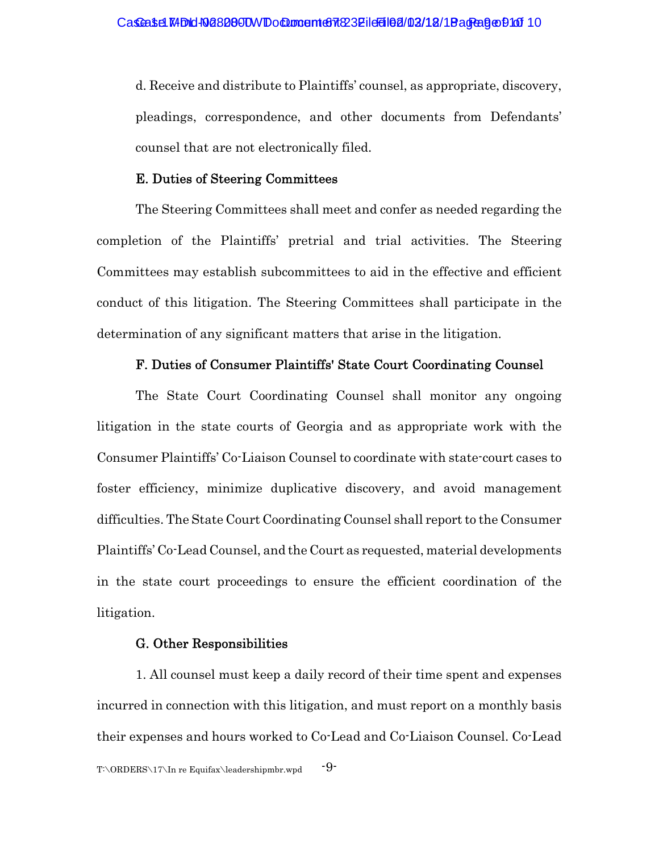d. Receive and distribute to Plaintiffs' counsel, as appropriate, discovery, pleadings, correspondence, and other documents from Defendants' counsel that are not electronically filed.

#### E. Duties of Steering Committees

The Steering Committees shall meet and confer as needed regarding the completion of the Plaintiffs' pretrial and trial activities. The Steering Committees may establish subcommittees to aid in the effective and efficient conduct of this litigation. The Steering Committees shall participate in the determination of any significant matters that arise in the litigation.

#### F. Duties of Consumer Plaintiffs' State Court Coordinating Counsel

The State Court Coordinating Counsel shall monitor any ongoing litigation in the state courts of Georgia and as appropriate work with the Consumer Plaintiffs' Co-Liaison Counsel to coordinate with state-court cases to foster efficiency, minimize duplicative discovery, and avoid management difficulties. The State Court Coordinating Counsel shall report to the Consumer Plaintiffs' Co-Lead Counsel, and the Court as requested, material developments in the state court proceedings to ensure the efficient coordination of the litigation.

#### G. Other Responsibilities

1. All counsel must keep a daily record of their time spent and expenses incurred in connection with this litigation, and must report on a monthly basis their expenses and hours worked to Co-Lead and Co-Liaison Counsel. Co-Lead